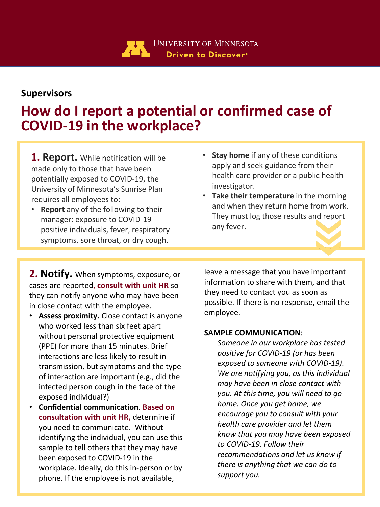

## **Supervisors**

## **How do I report a potential or confirmed case of COVID-19 in the workplace?**

**1. Report.** While notification will be made only to those that have been potentially exposed to COVID-19, the University of Minnesota's Sunrise Plan requires all employees to:

- **Report** any of the following to their manager: exposure to COVID-19 positive individuals, fever, respiratory symptoms, sore throat, or dry cough.
- **Stay home** if any of these conditions apply and seek guidance from their health care provider or a public health investigator.
- **Take their temperature** in the morning and when they return home from work. They must log those results and report any fever.

**2. Notify.** When symptoms, exposure, or cases are reported, **consult with unit HR** so they can notify anyone who may have been in close contact with the employee.

- **Assess proximity.** Close contact is anyone who worked less than six feet apart without personal protective equipment (PPE) for more than 15 minutes. Brief interactions are less likely to result in transmission, but symptoms and the type of interaction are important (e.g., did the infected person cough in the face of the exposed individual?)
- **Confidential communication**. **Based on consultation with unit HR,** determine if you need to communicate. Without identifying the individual, you can use this sample to tell others that they may have been exposed to COVID-19 in the workplace. Ideally, do this in-person or by phone. If the employee is not available,

leave a message that you have important information to share with them, and that they need to contact you as soon as possible. If there is no response, email the employee.

## **SAMPLE COMMUNICATION**:

*Someone in our workplace has tested positive for COVID-19 (or has been exposed to someone with COVID-19). We are notifying you, as this individual may have been in close contact with you. At this time, you will need to go home. Once you get home, we encourage you to consult with your health care provider and let them know that you may have been exposed to COVID-19. Follow their recommendations and let us know if there is anything that we can do to support you.*